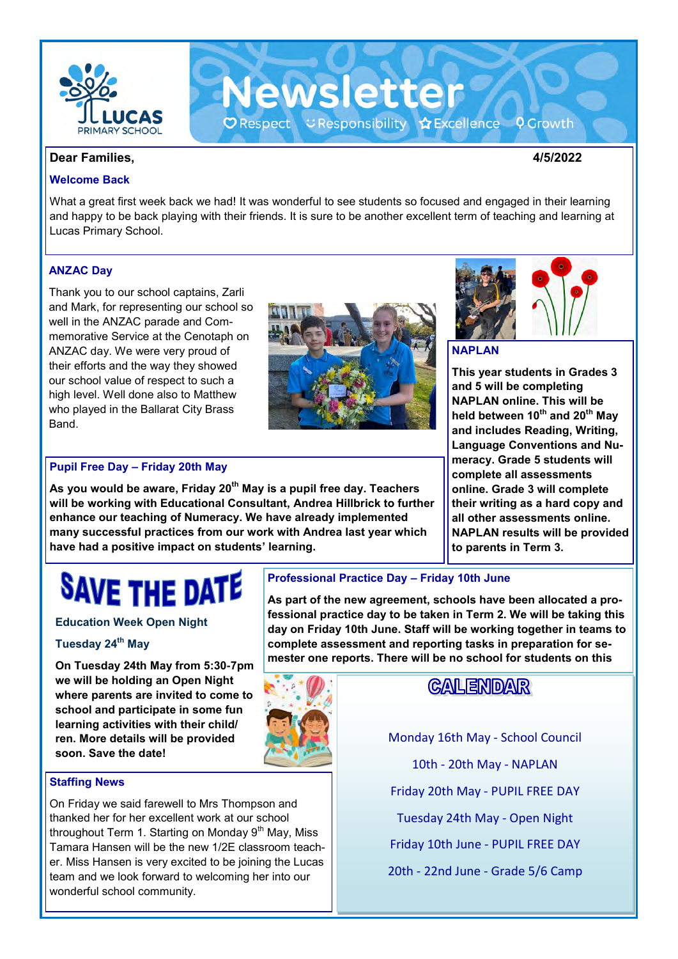

**Dear Families, 4/5/2022**

#### **Welcome Back**

What a great first week back we had! It was wonderful to see students so focused and engaged in their learning and happy to be back playing with their friends. It is sure to be another excellent term of teaching and learning at Lucas Primary School.

**Newsletter** 

O Respect こ Responsibility ☆ Excellence ♀ Growth

#### **ANZAC Day**

Thank you to our school captains, Zarli and Mark, for representing our school so well in the ANZAC parade and Commemorative Service at the Cenotaph on ANZAC day. We were very proud of their efforts and the way they showed our school value of respect to such a high level. Well done also to Matthew who played in the Ballarat City Brass Band.



#### **Pupil Free Day – Friday 20th May**

**As you would be aware, Friday 20th May is a pupil free day. Teachers will be working with Educational Consultant, Andrea Hillbrick to further enhance our teaching of Numeracy. We have already implemented many successful practices from our work with Andrea last year which have had a positive impact on students' learning.** 



#### **NAPLAN**

**This year students in Grades 3 and 5 will be completing NAPLAN online. This will be held between 10th and 20th May and includes Reading, Writing, Language Conventions and Numeracy. Grade 5 students will complete all assessments online. Grade 3 will complete their writing as a hard copy and all other assessments online. NAPLAN results will be provided to parents in Term 3.** 

# **SAVE THE DATE**

#### **Education Week Open Night**

#### **Tuesday 24th May**

**On Tuesday 24th May from 5:30-7pm we will be holding an Open Night where parents are invited to come to school and participate in some fun learning activities with their child/ ren. More details will be provided soon. Save the date!**

#### **Staffing News**

On Friday we said farewell to Mrs Thompson and thanked her for her excellent work at our school throughout Term 1. Starting on Monday  $9<sup>th</sup>$  May, Miss Tamara Hansen will be the new 1/2E classroom teacher. Miss Hansen is very excited to be joining the Lucas team and we look forward to welcoming her into our wonderful school community.

#### **Professional Practice Day – Friday 10th June**

**As part of the new agreement, schools have been allocated a professional practice day to be taken in Term 2. We will be taking this day on Friday 10th June. Staff will be working together in teams to complete assessment and reporting tasks in preparation for semester one reports. There will be no school for students on this** 



# **CALENDAR**

Monday 16th May - School Council 10th - 20th May - NAPLAN Friday 20th May - PUPIL FREE DAY Tuesday 24th May - Open Night Friday 10th June - PUPIL FREE DAY 20th - 22nd June - Grade 5/6 Camp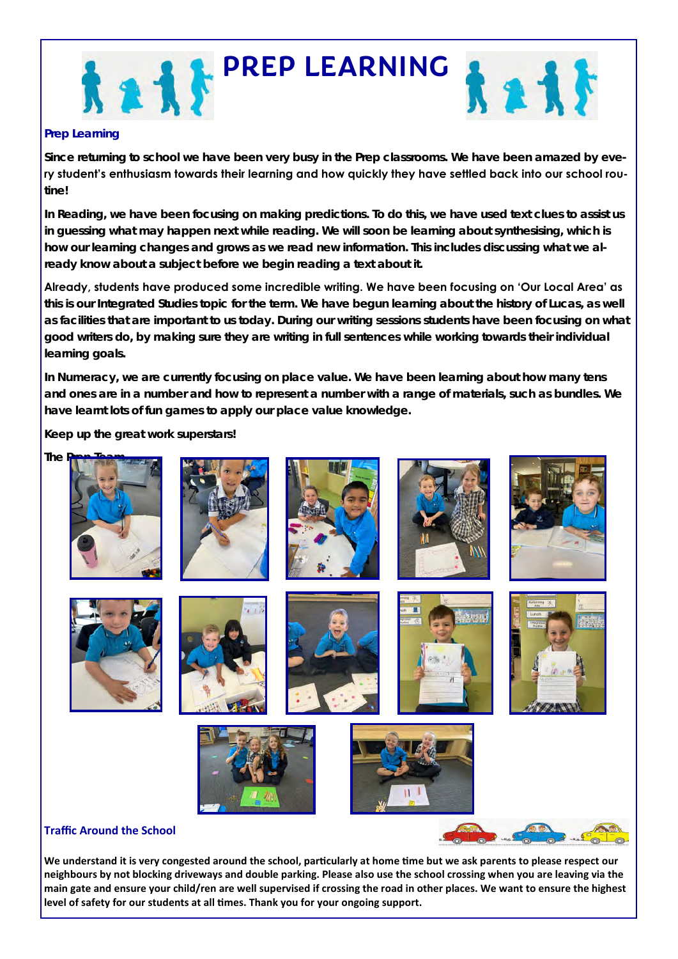



#### **Prep Learning**

**Since returning to school we have been very busy in the Prep classrooms. We have been amazed by every student's enthusiasm towards their learning and how quickly they have settled back into our school routine!**

**In Reading, we have been focusing on making predictions. To do this, we have used text clues to assist us in guessing what may happen next while reading. We will soon be learning about synthesising, which is how our learning changes and grows as we read new information. This includes discussing what we already know about a subject** *before* **we begin reading a text about it.** 

**Already, students have produced some incredible writing. We have been focusing on 'Our Local Area' as this is our Integrated Studies topic for the term. We have begun learning about the history of Lucas, as well as facilities that are important to us today. During our writing sessions students have been focusing on what good writers do, by making sure they are writing in full sentences while working towards their individual learning goals.**

**In Numeracy, we are currently focusing on place value. We have been learning about how many tens and ones are in a number and how to represent a number with a range of materials, such as bundles. We have learnt lots of fun games to apply our place value knowledge.** 

**Keep up the great work superstars!** 



**We understand it is very congested around the school, particularly at home time but we ask parents to please respect our neighbours by not blocking driveways and double parking. Please also use the school crossing when you are leaving via the main gate and ensure your child/ren are well supervised if crossing the road in other places. We want to ensure the highest level of safety for our students at all times. Thank you for your ongoing support.**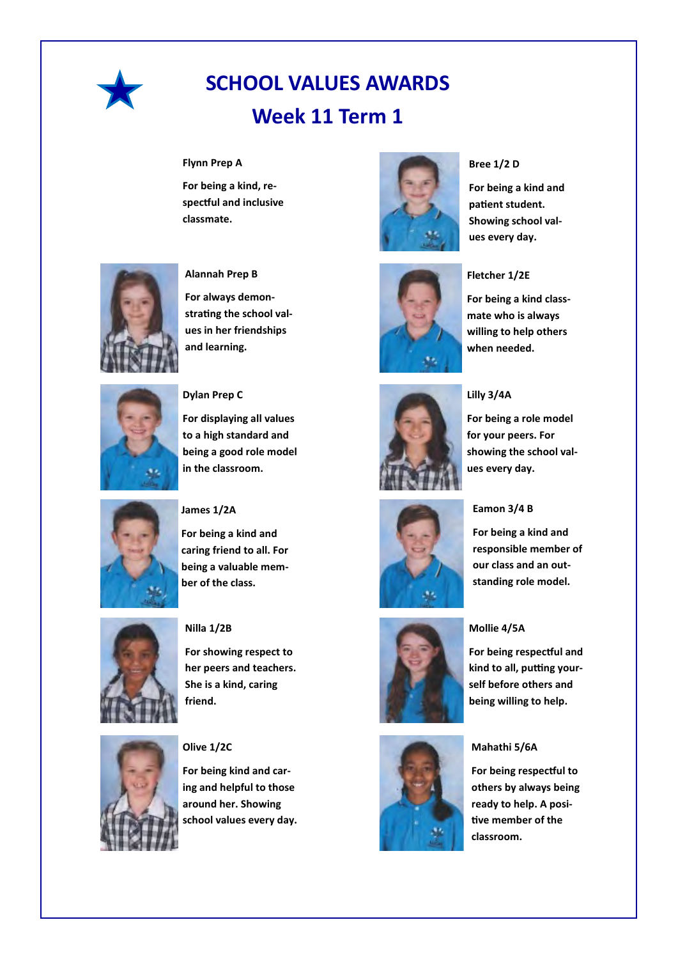

# **SCHOOL VALUES AWARDS Week 11 Term 1**

#### **Flynn Prep A**

**For being a kind, respectful and inclusive classmate.**



### **Fletcher 1/2E**

**Bree 1/2 D**

**For being a kind and patient student. Showing school values every day.**

**For being a kind classmate who is always willing to help others when needed.**



#### **Lilly 3/4A**

**For being a role model for your peers. For showing the school val-**







#### **Mollie 4/5A**

**For being respectful and kind to all, putting yourself before others and being willing to help.**

**standing role model.**

#### **Mahathi 5/6A**

**For being respectful to others by always being ready to help. A positive member of the classroom.**



#### **Alannah Prep B**

**For always demonstrating the school values in her friendships and learning.**

**For displaying all values to a high standard and** 



#### **being a good role model in the classroom.**

**Dylan Prep C**



#### **James 1/2A**

**For being a kind and caring friend to all. For being a valuable member of the class.**



# **Nilla 1/2B**

**For showing respect to her peers and teachers. She is a kind, caring friend.**



#### **Olive 1/2C**

**For being kind and caring and helpful to those around her. Showing school values every day.**

# **ues every day.**

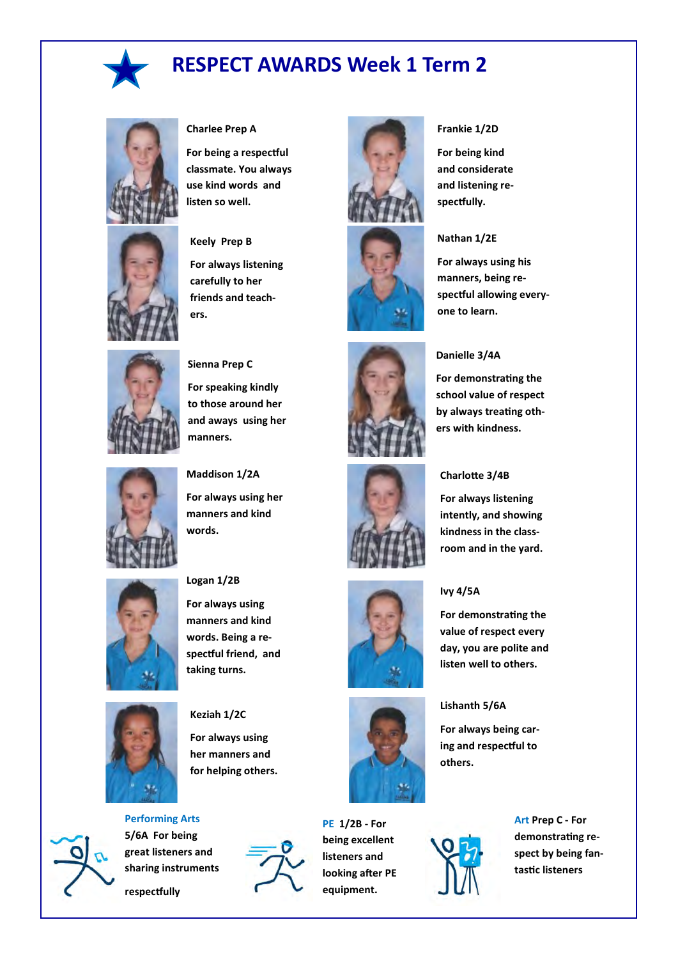

# **RESPECT AWARDS Week 1 Term 2**



#### **Charlee Prep A**

**For being a respectful classmate. You always use kind words and listen so well.**

#### **Keely Prep B**

**For always listening carefully to her friends and teachers.**



#### **Sienna Prep C**

**For speaking kindly to those around her and aways using her manners.**



**Maddison 1/2A**

**For always using her manners and kind words.**



#### **Logan 1/2B**

**For always using manners and kind words. Being a respectful friend, and taking turns.**



**Keziah 1/2C For always using her manners and for helping others.**



**respectfully**



**PE 1/2B - For being excellent listeners and looking after PE equipment.**





#### **Frankie 1/2D**

**For being kind and considerate and listening respectfully.**

#### **Nathan 1/2E**

**Danielle 3/4A**

**For always using his manners, being respectful allowing everyone to learn.**

**For demonstrating the school value of respect by always treating others with kindness.**







### **Ivy 4/5A**

**For demonstrating the value of respect every day, you are polite and listen well to others.**

#### **Lishanth 5/6A**

**For always being caring and respectful to others.**





#### **kindness in the classroom and in the yard.**

**For always listening intently, and showing** 

**Charlotte 3/4B**